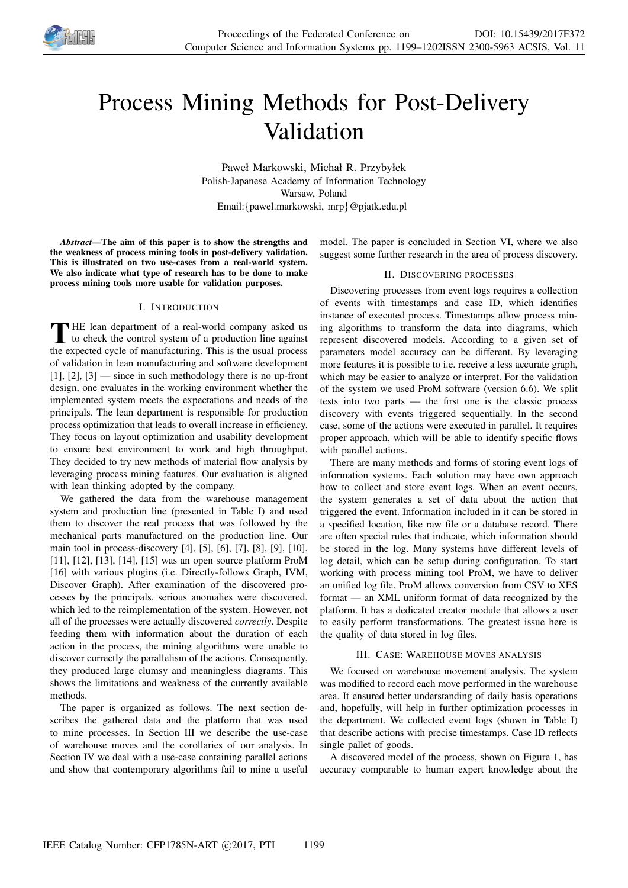

# Process Mining Methods for Post-Delivery Validation

Paweł Markowski, Michał R. Przybyłek Polish-Japanese Academy of Information Technology Warsaw, Poland Email:{pawel.markowski, mrp}@pjatk.edu.pl

*Abstract*—The aim of this paper is to show the strengths and the weakness of process mining tools in post-delivery validation. This is illustrated on two use-cases from a real-world system. We also indicate what type of research has to be done to make process mining tools more usable for validation purposes.

## I. INTRODUCTION

THE lean department of a real-world company asked us<br>to check the control system of a production line against<br>the expected cycle of manufacturing. This is the usual process THE lean department of a real-world company asked us to check the control system of a production line against of validation in lean manufacturing and software development  $[1]$ ,  $[2]$ ,  $[3]$  — since in such methodology there is no up-front design, one evaluates in the working environment whether the implemented system meets the expectations and needs of the principals. The lean department is responsible for production process optimization that leads to overall increase in efficiency. They focus on layout optimization and usability development to ensure best environment to work and high throughput. They decided to try new methods of material flow analysis by leveraging process mining features. Our evaluation is aligned with lean thinking adopted by the company.

We gathered the data from the warehouse management system and production line (presented in Table I) and used them to discover the real process that was followed by the mechanical parts manufactured on the production line. Our main tool in process-discovery [4], [5], [6], [7], [8], [9], [10], [11], [12], [13], [14], [15] was an open source platform ProM [16] with various plugins (i.e. Directly-follows Graph, IVM, Discover Graph). After examination of the discovered processes by the principals, serious anomalies were discovered, which led to the reimplementation of the system. However, not all of the processes were actually discovered *correctly*. Despite feeding them with information about the duration of each action in the process, the mining algorithms were unable to discover correctly the parallelism of the actions. Consequently, they produced large clumsy and meaningless diagrams. This shows the limitations and weakness of the currently available methods.

The paper is organized as follows. The next section describes the gathered data and the platform that was used to mine processes. In Section III we describe the use-case of warehouse moves and the corollaries of our analysis. In Section IV we deal with a use-case containing parallel actions and show that contemporary algorithms fail to mine a useful model. The paper is concluded in Section VI, where we also suggest some further research in the area of process discovery.

#### II. DISCOVERING PROCESSES

Discovering processes from event logs requires a collection of events with timestamps and case ID, which identifies instance of executed process. Timestamps allow process mining algorithms to transform the data into diagrams, which represent discovered models. According to a given set of parameters model accuracy can be different. By leveraging more features it is possible to i.e. receive a less accurate graph, which may be easier to analyze or interpret. For the validation of the system we used ProM software (version 6.6). We split tests into two parts — the first one is the classic process discovery with events triggered sequentially. In the second case, some of the actions were executed in parallel. It requires proper approach, which will be able to identify specific flows with parallel actions.

There are many methods and forms of storing event logs of information systems. Each solution may have own approach how to collect and store event logs. When an event occurs, the system generates a set of data about the action that triggered the event. Information included in it can be stored in a specified location, like raw file or a database record. There are often special rules that indicate, which information should be stored in the log. Many systems have different levels of log detail, which can be setup during configuration. To start working with process mining tool ProM, we have to deliver an unified log file. ProM allows conversion from CSV to XES format — an XML uniform format of data recognized by the platform. It has a dedicated creator module that allows a user to easily perform transformations. The greatest issue here is the quality of data stored in log files.

## III. CASE: WAREHOUSE MOVES ANALYSIS

We focused on warehouse movement analysis. The system was modified to record each move performed in the warehouse area. It ensured better understanding of daily basis operations and, hopefully, will help in further optimization processes in the department. We collected event logs (shown in Table I) that describe actions with precise timestamps. Case ID reflects single pallet of goods.

A discovered model of the process, shown on Figure 1, has accuracy comparable to human expert knowledge about the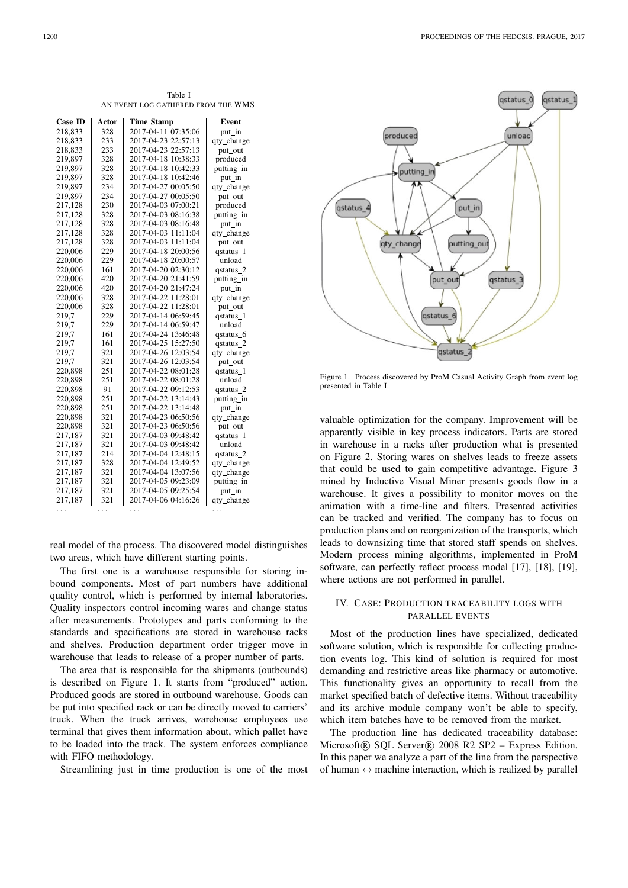Table I AN EVENT LOG GATHERED FROM THE WMS.

| $\overline{\text{Case ID}}$ | Actor | <b>Time Stamp</b>   | Event      |
|-----------------------------|-------|---------------------|------------|
| 218,833                     | 328   | 2017-04-11 07:35:06 | put_in     |
| 218,833                     | 233   | 2017-04-23 22:57:13 | qty_change |
| 218,833                     | 233   | 2017-04-23 22:57:13 | put_out    |
| 219,897                     | 328   | 2017-04-18 10:38:33 | produced   |
| 219,897                     | 328   | 2017-04-18 10:42:33 | putting in |
| 219,897                     | 328   | 2017-04-18 10:42:46 | put_in     |
| 219,897                     | 234   | 2017-04-27 00:05:50 | qty_change |
| 219,897                     | 234   | 2017-04-27 00:05:50 | put_out    |
| 217,128                     | 230   | 2017-04-03 07:00:21 | produced   |
| 217,128                     | 328   | 2017-04-03 08:16:38 | putting_in |
| 217,128                     | 328   | 2017-04-03 08:16:48 | put_in     |
| 217,128                     | 328   | 2017-04-03 11:11:04 | qty_change |
| 217,128                     | 328   | 2017-04-03 11:11:04 | put_out    |
| 220,006                     | 229   | 2017-04-18 20:00:56 | qstatus_1  |
| 220,006                     | 229   | 2017-04-18 20:00:57 | unload     |
| 220,006                     | 161   | 2017-04-20 02:30:12 | qstatus 2  |
| 220,006                     | 420   | 2017-04-20 21:41:59 | putting_in |
| 220,006                     | 420   | 2017-04-20 21:47:24 | put_in     |
| 220,006                     | 328   | 2017-04-22 11:28:01 | qty_change |
| 220,006                     | 328   | 2017-04-22 11:28:01 | put out    |
| 219,7                       | 229   | 2017-04-14 06:59:45 | qstatus_1  |
| 219,7                       | 229   | 2017-04-14 06:59:47 | unload     |
| 219,7                       | 161   | 2017-04-24 13:46:48 | qstatus_6  |
| 219,7                       | 161   | 2017-04-25 15:27:50 | qstatus_2  |
| 219,7                       | 321   | 2017-04-26 12:03:54 | qty_change |
| 219,7                       | 321   | 2017-04-26 12:03:54 | put_out    |
| 220,898                     | 251   | 2017-04-22 08:01:28 | qstatus 1  |
| 220,898                     | 251   | 2017-04-22 08:01:28 | unload     |
| 220,898                     | 91    | 2017-04-22 09:12:53 | qstatus_2  |
| 220,898                     | 251   | 2017-04-22 13:14:43 | putting in |
| 220,898                     | 251   | 2017-04-22 13:14:48 | put_in     |
| 220,898                     | 321   | 2017-04-23 06:50:56 | qty_change |
| 220,898                     | 321   | 2017-04-23 06:50:56 | put_out    |
| 217,187                     | 321   | 2017-04-03 09:48:42 | qstatus_1  |
| 217,187                     | 321   | 2017-04-03 09:48:42 | unload     |
| 217,187                     | 214   | 2017-04-04 12:48:15 | qstatus_2  |
| 217,187                     | 328   | 2017-04-04 12:49:52 | qty_change |
| 217,187                     | 321   | 2017-04-04 13:07:56 | qty change |
| 217,187                     | 321   | 2017-04-05 09:23:09 | putting_in |
| 217,187                     | 321   | 2017-04-05 09:25:54 | put_in     |
| 217,187                     | 321   | 2017-04-06 04:16:26 | qty_change |
|                             |       |                     |            |

real model of the process. The discovered model distinguishes two areas, which have different starting points.

The first one is a warehouse responsible for storing inbound components. Most of part numbers have additional quality control, which is performed by internal laboratories. Quality inspectors control incoming wares and change status after measurements. Prototypes and parts conforming to the standards and specifications are stored in warehouse racks and shelves. Production department order trigger move in warehouse that leads to release of a proper number of parts.

The area that is responsible for the shipments (outbounds) is described on Figure 1. It starts from "produced" action. Produced goods are stored in outbound warehouse. Goods can be put into specified rack or can be directly moved to carriers' truck. When the truck arrives, warehouse employees use terminal that gives them information about, which pallet have to be loaded into the track. The system enforces compliance with FIFO methodology.

Streamlining just in time production is one of the most



Figure 1. Process discovered by ProM Casual Activity Graph from event log presented in Table I.

valuable optimization for the company. Improvement will be apparently visible in key process indicators. Parts are stored in warehouse in a racks after production what is presented on Figure 2. Storing wares on shelves leads to freeze assets that could be used to gain competitive advantage. Figure 3 mined by Inductive Visual Miner presents goods flow in a warehouse. It gives a possibility to monitor moves on the animation with a time-line and filters. Presented activities can be tracked and verified. The company has to focus on production plans and on reorganization of the transports, which leads to downsizing time that stored staff spends on shelves. Modern process mining algorithms, implemented in ProM software, can perfectly reflect process model [17], [18], [19], where actions are not performed in parallel.

### IV. CASE: PRODUCTION TRACEABILITY LOGS WITH PARALLEL EVENTS

Most of the production lines have specialized, dedicated software solution, which is responsible for collecting production events log. This kind of solution is required for most demanding and restrictive areas like pharmacy or automotive. This functionality gives an opportunity to recall from the market specified batch of defective items. Without traceability and its archive module company won't be able to specify, which item batches have to be removed from the market.

The production line has dedicated traceability database: Microsoft $(\overline{R})$  SQL Server $(\overline{R})$  2008 R2 SP2 – Express Edition. In this paper we analyze a part of the line from the perspective of human  $\leftrightarrow$  machine interaction, which is realized by parallel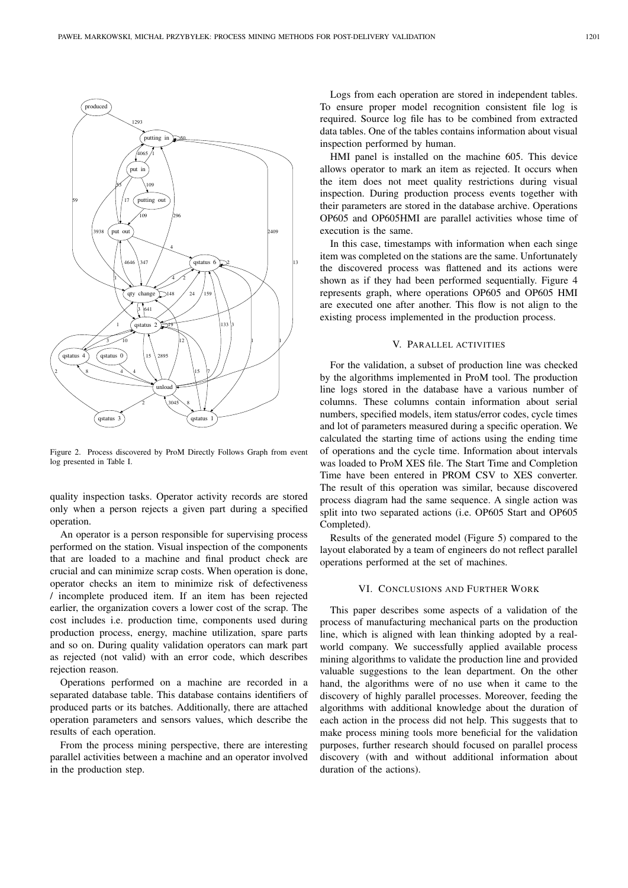

Figure 2. Process discovered by ProM Directly Follows Graph from event log presented in Table I.

quality inspection tasks. Operator activity records are stored only when a person rejects a given part during a specified operation.

An operator is a person responsible for supervising process performed on the station. Visual inspection of the components that are loaded to a machine and final product check are crucial and can minimize scrap costs. When operation is done, operator checks an item to minimize risk of defectiveness / incomplete produced item. If an item has been rejected earlier, the organization covers a lower cost of the scrap. The cost includes i.e. production time, components used during production process, energy, machine utilization, spare parts and so on. During quality validation operators can mark part as rejected (not valid) with an error code, which describes rejection reason.

Operations performed on a machine are recorded in a separated database table. This database contains identifiers of produced parts or its batches. Additionally, there are attached operation parameters and sensors values, which describe the results of each operation.

From the process mining perspective, there are interesting parallel activities between a machine and an operator involved in the production step.

Logs from each operation are stored in independent tables. To ensure proper model recognition consistent file log is required. Source log file has to be combined from extracted data tables. One of the tables contains information about visual inspection performed by human.

HMI panel is installed on the machine 605. This device allows operator to mark an item as rejected. It occurs when the item does not meet quality restrictions during visual inspection. During production process events together with their parameters are stored in the database archive. Operations OP605 and OP605HMI are parallel activities whose time of execution is the same.

In this case, timestamps with information when each singe item was completed on the stations are the same. Unfortunately the discovered process was flattened and its actions were shown as if they had been performed sequentially. Figure 4 represents graph, where operations OP605 and OP605 HMI are executed one after another. This flow is not align to the existing process implemented in the production process.

## V. PARALLEL ACTIVITIES

For the validation, a subset of production line was checked by the algorithms implemented in ProM tool. The production line logs stored in the database have a various number of columns. These columns contain information about serial numbers, specified models, item status/error codes, cycle times and lot of parameters measured during a specific operation. We calculated the starting time of actions using the ending time of operations and the cycle time. Information about intervals was loaded to ProM XES file. The Start Time and Completion Time have been entered in PROM CSV to XES converter. The result of this operation was similar, because discovered process diagram had the same sequence. A single action was split into two separated actions (i.e. OP605 Start and OP605 Completed).

Results of the generated model (Figure 5) compared to the layout elaborated by a team of engineers do not reflect parallel operations performed at the set of machines.

#### VI. CONCLUSIONS AND FURTHER WORK

This paper describes some aspects of a validation of the process of manufacturing mechanical parts on the production line, which is aligned with lean thinking adopted by a realworld company. We successfully applied available process mining algorithms to validate the production line and provided valuable suggestions to the lean department. On the other hand, the algorithms were of no use when it came to the discovery of highly parallel processes. Moreover, feeding the algorithms with additional knowledge about the duration of each action in the process did not help. This suggests that to make process mining tools more beneficial for the validation purposes, further research should focused on parallel process discovery (with and without additional information about duration of the actions).